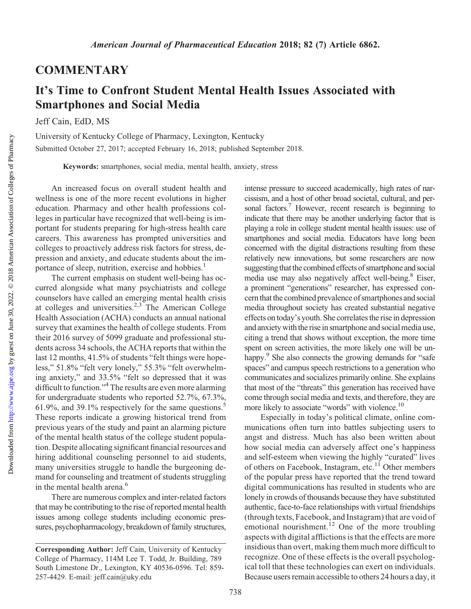## **COMMENTARY**

## It's Time to Confront Student Mental Health Issues Associated with Smartphones and Social Media

Jeff Cain, EdD, MS

University of Kentucky College of Pharmacy, Lexington, Kentucky Submitted October 27, 2017; accepted February 16, 2018; published September 2018.

Keywords: smartphones, social media, mental health, anxiety, stress

An increased focus on overall student health and wellness is one of the more recent evolutions in higher education. Pharmacy and other health professions colleges in particular have recognized that well-being is important for students preparing for high-stress health care careers. This awareness has prompted universities and colleges to proactively address risk factors for stress, depression and anxiety, and educate students about the importance of sleep, nutrition, exercise and hobbies.<sup>1</sup>

The current emphasis on student well-being has occurred alongside what many psychiatrists and college counselors have called an emerging mental health crisis at colleges and universities.<sup>2,3</sup> The American College Health Association (ACHA) conducts an annual national survey that examines the health of college students. From their 2016 survey of 5099 graduate and professional students across 34 schools, the ACHA reports that within the last 12 months, 41.5% of students "felt things were hopeless," 51.8% "felt very lonely," 55.3% "felt overwhelming anxiety," and 33.5% "felt so depressed that it was difficult to function."<sup>4</sup> The results are even more alarming for undergraduate students who reported 52.7%, 67.3%, 61.9%, and 39.1% respectively for the same questions.<sup>5</sup> These reports indicate a growing historical trend from previous years of the study and paint an alarming picture of the mental health status of the college student population. Despite allocating significant financial resources and hiring additional counseling personnel to aid students, many universities struggle to handle the burgeoning demand for counseling and treatment of students struggling in the mental health arena.<sup>6</sup>

There are numerous complex and inter-related factors that may be contributing to the rise of reported mental health issues among college students including economic pressures, psychopharmacology, breakdown of family structures,

intense pressure to succeed academically, high rates of narcissism, and a host of other broad societal, cultural, and personal factors.<sup>7</sup> However, recent research is beginning to indicate that there may be another underlying factor that is playing a role in college student mental health issues: use of smartphones and social media. Educators have long been concerned with the digital distractions resulting from these relatively new innovations, but some researchers are now suggesting that the combined effects of smartphone and social media use may also negatively affect well-being.<sup>8</sup> Eiser, a prominent "generations" researcher, has expressed concern that the combined prevalence of smartphones and social media throughout society has created substantial negative effects on today's youth. She correlates the rise in depression and anxiety with the rise in smartphone and social media use, citing a trend that shows without exception, the more time spent on screen activities, the more likely one will be unhappy.<sup>9</sup> She also connects the growing demands for "safe spaces" and campus speech restrictions to a generation who communicates and socializes primarily online. She explains that most of the "threats" this generation has received have come through social media and texts, and therefore, they are more likely to associate "words" with violence.<sup>10</sup>

Especially in today's political climate, online communications often turn into battles subjecting users to angst and distress. Much has also been written about how social media can adversely affect one's happiness and self-esteem when viewing the highly "curated" lives of others on Facebook, Instagram, etc.<sup>11</sup> Other members of the popular press have reported that the trend toward digital communications has resulted in students who are lonely in crowds of thousands because they have substituted authentic, face-to-face relationships with virtual friendships (through texts, Facebook, and Instagram) that are void of emotional nourishment.<sup>12</sup> One of the more troubling aspects with digital afflictions is that the effects are more insidious than overt, making them much more difficult to recognize. One of these effects is the overall psychological toll that these technologies can exert on individuals. Because users remain accessible to others 24 hours a day, it

Corresponding Author: Jeff Cain, University of Kentucky College of Pharmacy, 114M Lee T. Todd, Jr. Building, 789 South Limestone Dr., Lexington, KY 40536-0596. Tel: 859- 257-4429. E-mail: [jeff.cain@uky.edu](mailto:jeff.cain@uky.edu)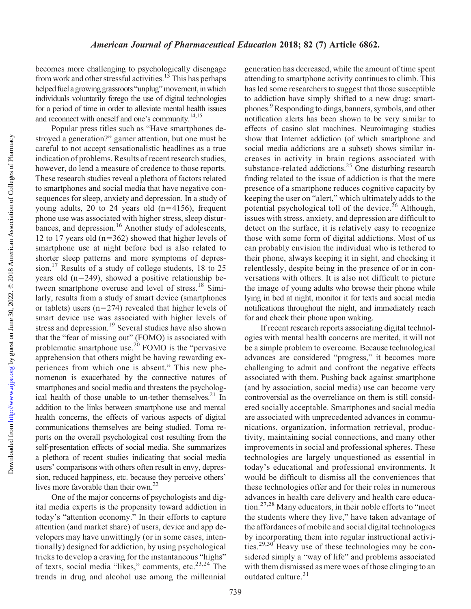becomes more challenging to psychologically disengage from work and other stressful activities.<sup>13</sup> This has perhaps helped fuel a growing grassroots "unplug" movement, in which individuals voluntarily forego the use of digital technologies for a period of time in order to alleviate mental health issues and reconnect with oneself and one's community.<sup>14,15</sup>

Popular press titles such as "Have smartphones destroyed a generation?" garner attention, but one must be careful to not accept sensationalistic headlines as a true indication of problems. Results of recent research studies, however, do lend a measure of credence to those reports. These research studies reveal a plethora of factors related to smartphones and social media that have negative consequences for sleep, anxiety and depression. In a study of young adults, 20 to 24 years old  $(n=4156)$ , frequent phone use was associated with higher stress, sleep disturbances, and depression.<sup>16</sup> Another study of adolescents, 12 to 17 years old ( $n=362$ ) showed that higher levels of smartphone use at night before bed is also related to shorter sleep patterns and more symptoms of depression.<sup>17</sup> Results of a study of college students, 18 to 25 years old  $(n=249)$ , showed a positive relationship between smartphone overuse and level of stress.<sup>18</sup> Similarly, results from a study of smart device (smartphones or tablets) users  $(n=274)$  revealed that higher levels of smart device use was associated with higher levels of stress and depression.<sup>19</sup> Several studies have also shown that the "fear of missing out" (FOMO) is associated with problematic smartphone use.<sup>20</sup> FOMO is the "pervasive apprehension that others might be having rewarding experiences from which one is absent." This new phenomenon is exacerbated by the connective natures of smartphones and social media and threatens the psychological health of those unable to un-tether themselves. $21$  In addition to the links between smartphone use and mental health concerns, the effects of various aspects of digital communications themselves are being studied. Toma reports on the overall psychological cost resulting from the self-presentation effects of social media. She summarizes a plethora of recent studies indicating that social media users' comparisons with others often result in envy, depression, reduced happiness, etc. because they perceive others' lives more favorable than their own.<sup>22</sup>

One of the major concerns of psychologists and digital media experts is the propensity toward addiction in today's "attention economy." In their efforts to capture attention (and market share) of users, device and app developers may have unwittingly (or in some cases, intentionally) designed for addiction, by using psychological tricks to develop a craving for the instantaneous "highs" of texts, social media "likes," comments, etc.23,24 The trends in drug and alcohol use among the millennial

generation has decreased, while the amount of time spent attending to smartphone activity continues to climb. This has led some researchers to suggest that those susceptible to addiction have simply shifted to a new drug: smartphones.<sup>9</sup> Responding to dings, banners, symbols, and other notification alerts has been shown to be very similar to effects of casino slot machines. Neuroimaging studies show that Internet addiction (of which smartphone and social media addictions are a subset) shows similar increases in activity in brain regions associated with substance-related addictions.<sup>25</sup> One disturbing research finding related to the issue of addiction is that the mere presence of a smartphone reduces cognitive capacity by keeping the user on "alert," which ultimately adds to the potential psychological toll of the device.<sup>26</sup> Although, issues with stress, anxiety, and depression are difficult to detect on the surface, it is relatively easy to recognize those with some form of digital addictions. Most of us can probably envision the individual who is tethered to their phone, always keeping it in sight, and checking it relentlessly, despite being in the presence of or in conversations with others. It is also not difficult to picture the image of young adults who browse their phone while lying in bed at night, monitor it for texts and social media notifications throughout the night, and immediately reach for and check their phone upon waking.

If recent research reports associating digital technologies with mental health concerns are merited, it will not be a simple problem to overcome. Because technological advances are considered "progress," it becomes more challenging to admit and confront the negative effects associated with them. Pushing back against smartphone (and by association, social media) use can become very controversial as the overreliance on them is still considered socially acceptable. Smartphones and social media are associated with unprecedented advances in communications, organization, information retrieval, productivity, maintaining social connections, and many other improvements in social and professional spheres. These technologies are largely unquestioned as essential in today's educational and professional environments. It would be difficult to dismiss all the conveniences that these technologies offer and for their roles in numerous advances in health care delivery and health care education.27,28 Many educators, in their noble efforts to "meet the students where they live," have taken advantage of the affordances of mobile and social digital technologies by incorporating them into regular instructional activities.29,30 Heavy use of these technologies may be considered simply a "way of life" and problems associated with them dismissed as mere woes of those clinging to an outdated culture.<sup>31</sup>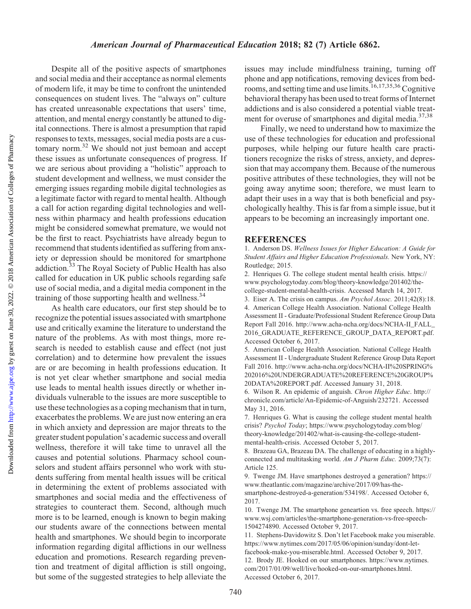Downloaded from

Despite all of the positive aspects of smartphones and social media and their acceptance as normal elements of modern life, it may be time to confront the unintended consequences on student lives. The "always on" culture has created unreasonable expectations that users' time, attention, and mental energy constantly be attuned to digital connections. There is almost a presumption that rapid responses to texts, messages, social media posts are a customary norm.32 We should not just bemoan and accept these issues as unfortunate consequences of progress. If we are serious about providing a "holistic" approach to student development and wellness, we must consider the emerging issues regarding mobile digital technologies as a legitimate factor with regard to mental health. Although a call for action regarding digital technologies and wellness within pharmacy and health professions education might be considered somewhat premature, we would not be the first to react. Psychiatrists have already begun to recommend that students identified as suffering from anxiety or depression should be monitored for smartphone addiction.33 The Royal Society of Public Health has also called for education in UK public schools regarding safe use of social media, and a digital media component in the training of those supporting health and wellness.<sup>34</sup>

As health care educators, our first step should be to recognize the potential issues associated with smartphone use and critically examine the literature to understand the nature of the problems. As with most things, more research is needed to establish cause and effect (not just correlation) and to determine how prevalent the issues are or are becoming in health professions education. It is not yet clear whether smartphone and social media use leads to mental health issues directly or whether individuals vulnerable to the issues are more susceptible to use these technologies as a coping mechanism that in turn, exacerbates the problems. We are just now entering an era in which anxiety and depression are major threats to the greater student population's academic success and overall wellness, therefore it will take time to unravel all the causes and potential solutions. Pharmacy school counselors and student affairs personnel who work with students suffering from mental health issues will be critical in determining the extent of problems associated with smartphones and social media and the effectiveness of strategies to counteract them. Second, although much more is to be learned, enough is known to begin making our students aware of the connections between mental health and smartphones. We should begin to incorporate information regarding digital afflictions in our wellness education and promotions. Research regarding prevention and treatment of digital affliction is still ongoing, but some of the suggested strategies to help alleviate the

issues may include mindfulness training, turning off phone and app notifications, removing devices from bedrooms, and setting time and use limits.<sup>16,17,35,36</sup> Cognitive behavioral therapy has been used to treat forms of Internet addictions and is also considered a potential viable treatment for overuse of smartphones and digital media.<sup>37,38</sup>

Finally, we need to understand how to maximize the use of these technologies for education and professional purposes, while helping our future health care practitioners recognize the risks of stress, anxiety, and depression that may accompany them. Because of the numerous positive attributes of these technologies, they will not be going away anytime soon; therefore, we must learn to adapt their uses in a way that is both beneficial and psychologically healthy. This is far from a simple issue, but it appears to be becoming an increasingly important one.

## **REFERENCES**

1. Anderson DS. Wellness Issues for Higher Education: A Guide for Student Affairs and Higher Education Professionals. New York, NY: Routledge; 2015.

2. Henriques G. The college student mental health crisis. [https://](https://www.psychologytoday.com/blog/theory-knowledge/201402/the-college-student-mental-health-crisis) [www.psychologytoday.com/blog/theory-knowledge/201402/the](https://www.psychologytoday.com/blog/theory-knowledge/201402/the-college-student-mental-health-crisis)[college-student-mental-health-crisis](https://www.psychologytoday.com/blog/theory-knowledge/201402/the-college-student-mental-health-crisis). Accessed March 14, 2017.

3. Eiser A. The crisis on campus. Am Psychol Assoc. 2011;42(8):18. 4. American College Health Association. National College Health Assessment II - Graduate/Professional Student Reference Group Data Report Fall 2016. [http://www.acha-ncha.org/docs/NCHA-II\\_FALL\\_](http://www.acha-ncha.org/docs/NCHA-II_FALL_2016_GRADUATE_REFERENCE_GROUP_DATA_REPORT.pdf) [2016\\_GRADUATE\\_REFERENCE\\_GROUP\\_DATA\\_REPORT.pdf.](http://www.acha-ncha.org/docs/NCHA-II_FALL_2016_GRADUATE_REFERENCE_GROUP_DATA_REPORT.pdf) Accessed October 6, 2017.

5. American College Health Association. National College Health Assessment II - Undergraduate Student Reference Group Data Report Fall 2016. [http://www.acha-ncha.org/docs/NCHA-II%20SPRING%](http://www.acha-ncha.org/docs/NCHA-II%20SPRING%202016%20UNDERGRADUATE%20REFERENCE%20GROUP%20DATA%20REPORT.pdf) [202016%20UNDERGRADUATE%20REFERENCE%20GROUP%](http://www.acha-ncha.org/docs/NCHA-II%20SPRING%202016%20UNDERGRADUATE%20REFERENCE%20GROUP%20DATA%20REPORT.pdf) [20DATA%20REPORT.pdf.](http://www.acha-ncha.org/docs/NCHA-II%20SPRING%202016%20UNDERGRADUATE%20REFERENCE%20GROUP%20DATA%20REPORT.pdf) Accessed January 31, 2018.

6. Wilson R. An epidemic of anguish. Chron Higher Educ. [http://](http://chronicle.com/article/An-Epidemic-of-Anguish/232721) [chronicle.com/article/An-Epidemic-of-Anguish/232721.](http://chronicle.com/article/An-Epidemic-of-Anguish/232721) Accessed May 31, 2016.

7. Henriques G. What is causing the college student mental health crisis? Psychol Today; [https://www.psychologytoday.com/blog/](https://www.psychologytoday.com/blog/theory-knowledge/201402/what-is-causing-the-college-student-mental-health-crisis) [theory-knowledge/201402/what-is-causing-the-college-student](https://www.psychologytoday.com/blog/theory-knowledge/201402/what-is-causing-the-college-student-mental-health-crisis)[mental-health-crisis](https://www.psychologytoday.com/blog/theory-knowledge/201402/what-is-causing-the-college-student-mental-health-crisis). Accessed October 5, 2017.

8. Brazeau GA, Brazeau DA. The challenge of educating in a highlyconnected and multitasking world. Am J Pharm Educ. 2009;73(7): Article 125.

9. Twenge JM. Have smartphones destroyed a generation? [https://](https://www.theatlantic.com/magazine/archive/2017/09/has-the-smartphone-destroyed-a-generation/534198/) [www.theatlantic.com/magazine/archive/2017/09/has-the](https://www.theatlantic.com/magazine/archive/2017/09/has-the-smartphone-destroyed-a-generation/534198/)[smartphone-destroyed-a-generation/534198/.](https://www.theatlantic.com/magazine/archive/2017/09/has-the-smartphone-destroyed-a-generation/534198/) Accessed October 6, 2017.

10. Twenge JM. The smartphone geneartion vs. free speech. [https://](https://www.wsj.com/articles/the-smartphone-generation-vs-free-speech-1504274890) [www.wsj.com/articles/the-smartphone-generation-vs-free-speech-](https://www.wsj.com/articles/the-smartphone-generation-vs-free-speech-1504274890)[1504274890.](https://www.wsj.com/articles/the-smartphone-generation-vs-free-speech-1504274890) Accessed October 9, 2017.

11. Stephens-Davidowitz S. Don't let Facebook make you miserable. [https://www.nytimes.com/2017/05/06/opinion/sunday/dont-let](https://www.nytimes.com/2017/05/06/opinion/sunday/dont-let-facebook-make-you-miserable.html)[facebook-make-you-miserable.html.](https://www.nytimes.com/2017/05/06/opinion/sunday/dont-let-facebook-make-you-miserable.html) Accessed October 9, 2017. 12. Brody JE. Hooked on our smartphones. [https://www.nytimes.](https://www.nytimes.com/2017/01/09/well/live/hooked-on-our-smartphones.html) [com/2017/01/09/well/live/hooked-on-our-smartphones.html.](https://www.nytimes.com/2017/01/09/well/live/hooked-on-our-smartphones.html) Accessed October 6, 2017.